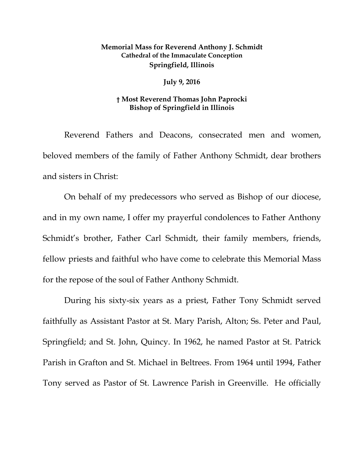## **Memorial Mass for Reverend Anthony J. Schmidt Cathedral of the Immaculate Conception Springfield, Illinois**

## **July 9, 2016**

## **† Most Reverend Thomas John Paprocki Bishop of Springfield in Illinois**

Reverend Fathers and Deacons, consecrated men and women, beloved members of the family of Father Anthony Schmidt, dear brothers and sisters in Christ:

On behalf of my predecessors who served as Bishop of our diocese, and in my own name, I offer my prayerful condolences to Father Anthony Schmidt's brother, Father Carl Schmidt, their family members, friends, fellow priests and faithful who have come to celebrate this Memorial Mass for the repose of the soul of Father Anthony Schmidt.

During his sixty-six years as a priest, Father Tony Schmidt served faithfully as Assistant Pastor at St. Mary Parish, Alton; Ss. Peter and Paul, Springfield; and St. John, Quincy. In 1962, he named Pastor at St. Patrick Parish in Grafton and St. Michael in Beltrees. From 1964 until 1994, Father Tony served as Pastor of St. Lawrence Parish in Greenville. He officially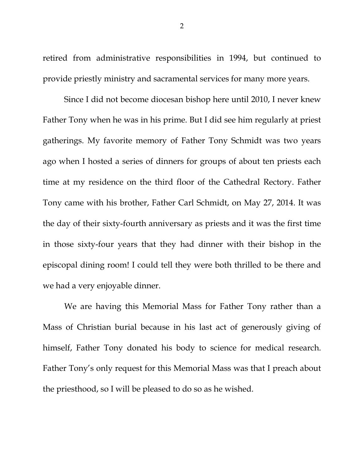retired from administrative responsibilities in 1994, but continued to provide priestly ministry and sacramental services for many more years.

Since I did not become diocesan bishop here until 2010, I never knew Father Tony when he was in his prime. But I did see him regularly at priest gatherings. My favorite memory of Father Tony Schmidt was two years ago when I hosted a series of dinners for groups of about ten priests each time at my residence on the third floor of the Cathedral Rectory. Father Tony came with his brother, Father Carl Schmidt, on May 27, 2014. It was the day of their sixty-fourth anniversary as priests and it was the first time in those sixty-four years that they had dinner with their bishop in the episcopal dining room! I could tell they were both thrilled to be there and we had a very enjoyable dinner.

We are having this Memorial Mass for Father Tony rather than a Mass of Christian burial because in his last act of generously giving of himself, Father Tony donated his body to science for medical research. Father Tony's only request for this Memorial Mass was that I preach about the priesthood, so I will be pleased to do so as he wished.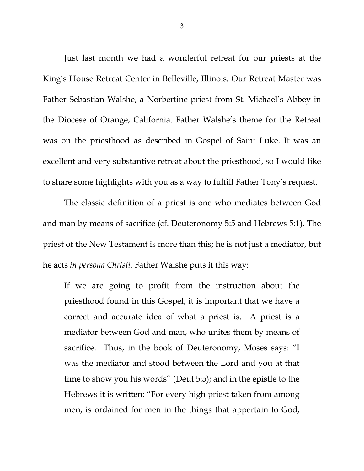<span id="page-2-2"></span><span id="page-2-1"></span><span id="page-2-0"></span>Just last month we had a wonderful retreat for our priests at the King's House Retreat Center in Belleville, Illinois. Our Retreat Master was Father Sebastian Walshe, a Norbertine priest from St. Michael's Abbey in the Diocese of Orange, California. Father Walshe's theme for the Retreat was on the priesthood as described in Gospel of Saint Luke. It was an excellent and very substantive retreat about the priesthood, so I would like to share some highlights with you as a way to fulfill Father Tony's request.

<span id="page-2-4"></span><span id="page-2-3"></span>The classic definition of a priest is one who mediates between God and man by means of sacrifice (cf. Deuteronomy 5:5 and Hebrews 5:1). The priest of the New Testament is more than this; he is not just a mediator, but he acts *in persona Christi.* Father Walshe puts it this way:

If we are going to profit from the instruction about the priesthood found in this Gospel, it is important that we have a correct and accurate idea of what a priest is. A priest is a mediator between God and man, who unites them by means of sacrifice. Thus, in the book of Deuteronomy, Moses says: "I was the mediator and stood between the Lord and you at that time to show you his words" (Deut 5:5); and in the epistle to the Hebrews it is written: "For every high priest taken from among men, is ordained for men in the things that appertain to God,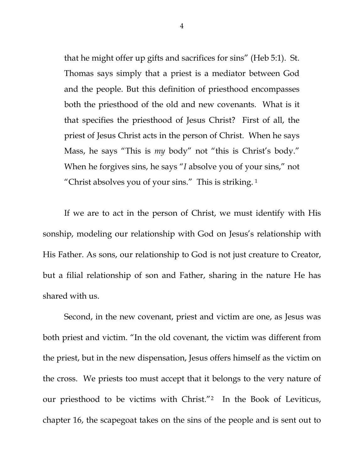that he might offer up gifts and sacrifices for sins" (Heb 5:1). St. Thomas says simply that a priest is a mediator between God and the people. But this definition of priesthood encompasses both the priesthood of the old and new covenants. What is it that specifies the priesthood of Jesus Christ? First of all, the priest of Jesus Christ acts in the person of Christ. When he says Mass, he says "This is *my* body" not "this is Christ's body." When he forgives sins, he says "*I* absolve you of your sins," not "Christ absolves you of your sins." This is striking. [1](#page-2-0)

If we are to act in the person of Christ, we must identify with His sonship, modeling our relationship with God on Jesus's relationship with His Father. As sons, our relationship to God is not just creature to Creator, but a filial relationship of son and Father, sharing in the nature He has shared with us.

Second, in the new covenant, priest and victim are one, as Jesus was both priest and victim. "In the old covenant, the victim was different from the priest, but in the new dispensation, Jesus offers himself as the victim on the cross. We priests too must accept that it belongs to the very nature of our priesthood to be victims with Christ."[2](#page-2-1) In the Book of Leviticus, chapter 16, the scapegoat takes on the sins of the people and is sent out to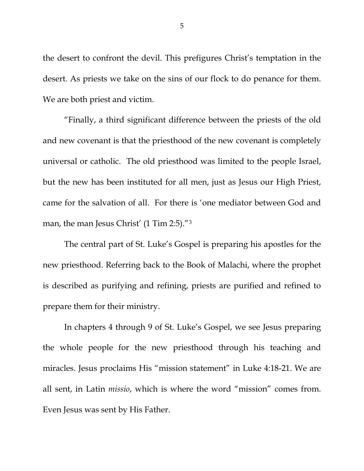the desert to confront the devil. This prefigures Christ's temptation in the desert. As priests we take on the sins of our flock to do penance for them. We are both priest and victim.

"Finally, a third significant difference between the priests of the old and new covenant is that the priesthood of the new covenant is completely universal or catholic. The old priesthood was limited to the people Israel, but the new has been instituted for all men, just as Jesus our High Priest, came for the salvation of all. For there is 'one mediator between God and man, the man Jesus Christ' (1 Tim 2:5)."<sup>3</sup>

The central part of St. Luke's Gospel is preparing his apostles for the new priesthood. Referring back to the Book of Malachi, where the prophet is described as purifying and refining, priests are purified and refined to prepare them for their ministry.

In chapters 4 through 9 of St. Luke's Gospel, we see Jesus preparing the whole people for the new priesthood through his teaching and miracles. Jesus proclaims His "mission statement" in Luke 4:18-21. We are all sent, in Latin *missio*, which is where the word "mission" comes from. Even Jesus was sent by His Father.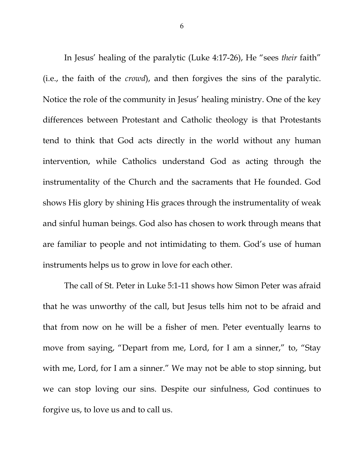In Jesus' healing of the paralytic (Luke 4:17-26), He "sees *their* faith" (i.e., the faith of the *crowd*), and then forgives the sins of the paralytic. Notice the role of the community in Jesus' healing ministry. One of the key differences between Protestant and Catholic theology is that Protestants tend to think that God acts directly in the world without any human intervention, while Catholics understand God as acting through the instrumentality of the Church and the sacraments that He founded. God shows His glory by shining His graces through the instrumentality of weak and sinful human beings. God also has chosen to work through means that are familiar to people and not intimidating to them. God's use of human instruments helps us to grow in love for each other.

The call of St. Peter in Luke 5:1-11 shows how Simon Peter was afraid that he was unworthy of the call, but Jesus tells him not to be afraid and that from now on he will be a fisher of men. Peter eventually learns to move from saying, "Depart from me, Lord, for I am a sinner," to, "Stay with me, Lord, for I am a sinner." We may not be able to stop sinning, but we can stop loving our sins. Despite our sinfulness, God continues to forgive us, to love us and to call us.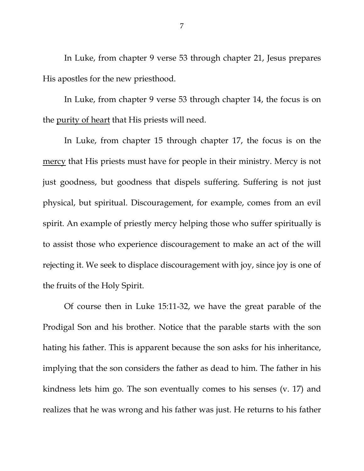In Luke, from chapter 9 verse 53 through chapter 21, Jesus prepares His apostles for the new priesthood.

In Luke, from chapter 9 verse 53 through chapter 14, the focus is on the purity of heart that His priests will need.

In Luke, from chapter 15 through chapter 17, the focus is on the mercy that His priests must have for people in their ministry. Mercy is not just goodness, but goodness that dispels suffering. Suffering is not just physical, but spiritual. Discouragement, for example, comes from an evil spirit. An example of priestly mercy helping those who suffer spiritually is to assist those who experience discouragement to make an act of the will rejecting it. We seek to displace discouragement with joy, since joy is one of the fruits of the Holy Spirit.

Of course then in Luke 15:11-32, we have the great parable of the Prodigal Son and his brother. Notice that the parable starts with the son hating his father. This is apparent because the son asks for his inheritance, implying that the son considers the father as dead to him. The father in his kindness lets him go. The son eventually comes to his senses (v. 17) and realizes that he was wrong and his father was just. He returns to his father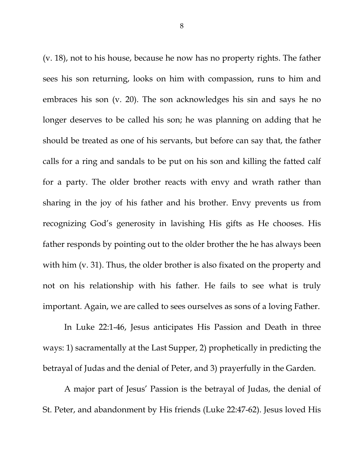(v. 18), not to his house, because he now has no property rights. The father sees his son returning, looks on him with compassion, runs to him and embraces his son (v. 20). The son acknowledges his sin and says he no longer deserves to be called his son; he was planning on adding that he should be treated as one of his servants, but before can say that, the father calls for a ring and sandals to be put on his son and killing the fatted calf for a party. The older brother reacts with envy and wrath rather than sharing in the joy of his father and his brother. Envy prevents us from recognizing God's generosity in lavishing His gifts as He chooses. His father responds by pointing out to the older brother the he has always been with him (v. 31). Thus, the older brother is also fixated on the property and not on his relationship with his father. He fails to see what is truly important. Again, we are called to sees ourselves as sons of a loving Father.

In Luke 22:1-46, Jesus anticipates His Passion and Death in three ways: 1) sacramentally at the Last Supper, 2) prophetically in predicting the betrayal of Judas and the denial of Peter, and 3) prayerfully in the Garden.

A major part of Jesus' Passion is the betrayal of Judas, the denial of St. Peter, and abandonment by His friends (Luke 22:47-62). Jesus loved His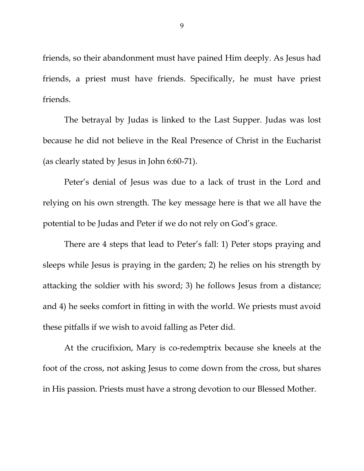friends, so their abandonment must have pained Him deeply. As Jesus had friends, a priest must have friends. Specifically, he must have priest friends.

The betrayal by Judas is linked to the Last Supper. Judas was lost because he did not believe in the Real Presence of Christ in the Eucharist (as clearly stated by Jesus in John 6:60-71).

Peter's denial of Jesus was due to a lack of trust in the Lord and relying on his own strength. The key message here is that we all have the potential to be Judas and Peter if we do not rely on God's grace.

There are 4 steps that lead to Peter's fall: 1) Peter stops praying and sleeps while Jesus is praying in the garden; 2) he relies on his strength by attacking the soldier with his sword; 3) he follows Jesus from a distance; and 4) he seeks comfort in fitting in with the world. We priests must avoid these pitfalls if we wish to avoid falling as Peter did.

At the crucifixion, Mary is co-redemptrix because she kneels at the foot of the cross, not asking Jesus to come down from the cross, but shares in His passion. Priests must have a strong devotion to our Blessed Mother.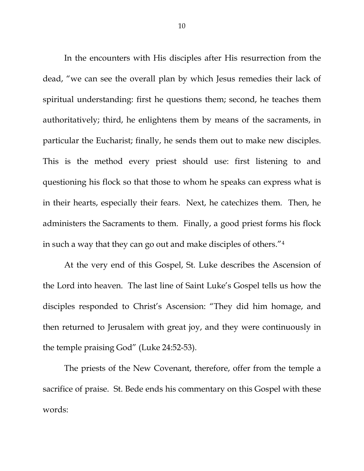In the encounters with His disciples after His resurrection from the dead, "we can see the overall plan by which Jesus remedies their lack of spiritual understanding: first he questions them; second, he teaches them authoritatively; third, he enlightens them by means of the sacraments, in particular the Eucharist; finally, he sends them out to make new disciples. This is the method every priest should use: first listening to and questioning his flock so that those to whom he speaks can express what is in their hearts, especially their fears. Next, he catechizes them. Then, he administers the Sacraments to them. Finally, a good priest forms his flock in such a way that they can go out and make disciples of others."[4](#page-2-3)

At the very end of this Gospel, St. Luke describes the Ascension of the Lord into heaven. The last line of Saint Luke's Gospel tells us how the disciples responded to Christ's Ascension: "They did him homage, and then returned to Jerusalem with great joy, and they were continuously in the temple praising God" (Luke 24:52-53).

The priests of the New Covenant, therefore, offer from the temple a sacrifice of praise. St. Bede ends his commentary on this Gospel with these words: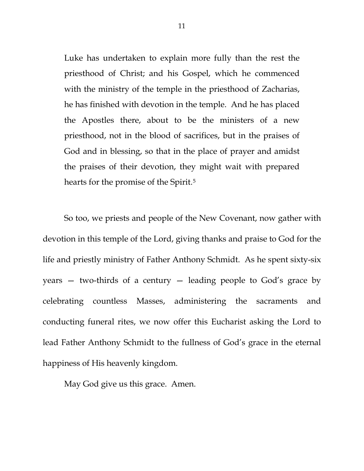Luke has undertaken to explain more fully than the rest the priesthood of Christ; and his Gospel, which he commenced with the ministry of the temple in the priesthood of Zacharias, he has finished with devotion in the temple. And he has placed the Apostles there, about to be the ministers of a new priesthood, not in the blood of sacrifices, but in the praises of God and in blessing, so that in the place of prayer and amidst the praises of their devotion, they might wait with prepared hearts for the promise of the Spirit.<sup>[5](#page-2-4)</sup>

So too, we priests and people of the New Covenant, now gather with devotion in this temple of the Lord, giving thanks and praise to God for the life and priestly ministry of Father Anthony Schmidt. As he spent sixty-six years — two-thirds of a century — leading people to God's grace by celebrating countless Masses, administering the sacraments and conducting funeral rites, we now offer this Eucharist asking the Lord to lead Father Anthony Schmidt to the fullness of God's grace in the eternal happiness of His heavenly kingdom.

May God give us this grace. Amen.